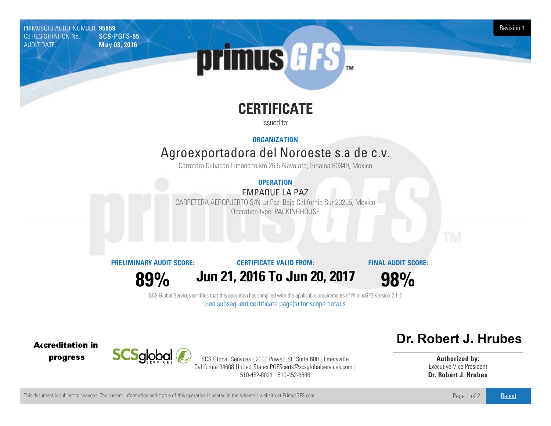PRIMUSGFS AUDIT NUMBER: 95859 Revision 1 CB REGISTRATION No.: AUDIT DATE: **May 03, 2016** 



# **CERTIFICATE**

Issued to:

**ORGANIZATION**

## Agroexportadora del Noroeste s.a de c.v.

Carretera Culiacan-Limoncito km 26.5 Navolato, Sinaloa 80349, Mexico

### **OPERATION**

#### EMPAQUE LA PAZ

CARRETERA AEROPUERTO S/N LaPaz, Baja California Sur23205, Mexico Operation type: PACKINGHOUSE

**PRELIMINARY AUDIT SCORE:**

#### **CERTIFICATE VALID FROM:**

**FINAL AUDIT SCORE:**

**89%**

**Jun 21, 2016 To Jun 20, 2017**

**98%**

SCS Global Services certifies that this operation has complied with the applicable requirements of PrimusGFS Version 2.1-2 See subsequent certificate page(s) for scope details

**Accreditation in** progress



SCS Global Services | 2000 Powell St. Suite 600 | Emeryville California 94608 United States PGFScerts@scsglobalservices.com | 510-452-8021 | 510-452-6886

### Dr. Robert J. Hrubes

**Authorized by:** Executive Vice President **Dr. Robert J. Hrubes**

This document is subject to changes. The current information and status of this operation is posted in the scheme's website at PrimusGFS.com Page 1 of 2 [Report](https://secure.azzule.com/PGFSDocuments/PGFS_AuditReport95859_7463_2_SP.pdf)